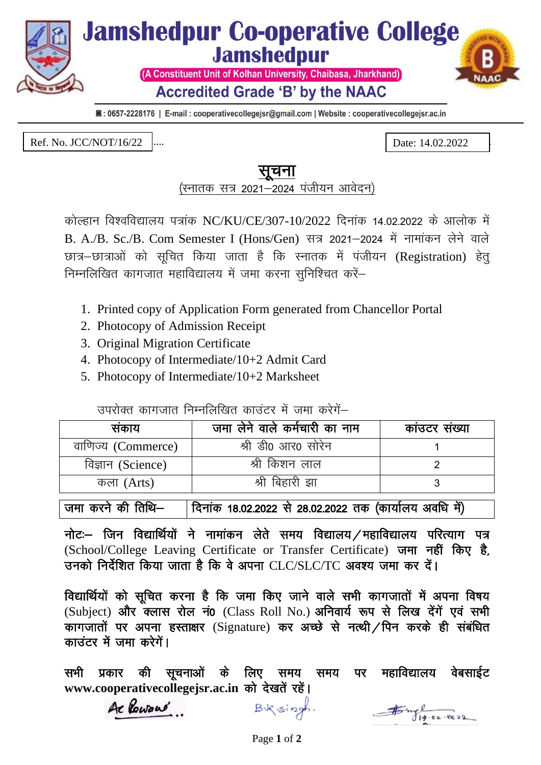

■: 0657-2228176 | E-mail : cooperativecollegejsr@gmail.com | Website : cooperativecollegejsr.ac.in

Ref. No. : JCC/....................... Date : ...................... Ref. No. JCC/NOT/16/22 Date: 14.02.2022

## सचना

(स्नातक सत्र 2021-2024 पंजीयन आवेदन)

कोल्हान विश्वविद्यालय पत्रांक NC/KU/CE/307-10/2022 दिनांक 14.02.2022 के आलोक में B. A./B. Sc./B. Com Semester I (Hons/Gen) सत्र 2021-2024 में नामांकन लेने वाले छात्र–छात्राओं को सुचित किया जाता है कि स्नातक में पंजीयन (Registration) हेत् निम्नलिखित कागजात महाविद्यालय में जमा करना सुनिश्चित करें–

- 1. Printed copy of Application Form generated from Chancellor Portal
- 2. Photocopy of Admission Receipt
- 3. Original Migration Certificate
- 4. Photocopy of Intermediate/10+2 Admit Card
- 5. Photocopy of Intermediate/10+2 Marksheet

उपरोक्त कागजात निम्नलिखित काउंटर में जमा करेगें–

| सकाय               | जमा लेने वाले कर्मचारी का नाम | काउटर संख्या |
|--------------------|-------------------------------|--------------|
| वाणिज्य (Commerce) | श्री डी0 आर0 सोरेन            |              |
| विज्ञान (Science)  | श्री किशन लाल                 |              |
| कला (Arts)         | श्री बिहारी झा                |              |

जमा करने की तिथि– | दिनांक 18.02.2022 से 28.02.2022 तक (कार्यालय अवधि में)

नोटः– जिन विद्यार्थियों ने नामांकन लेते समय विद्यालय / महाविद्यालय परित्याग पत्र (School/College Leaving Certificate or Transfer Certificate) जमा नहीं किए है, उनको निर्देशित किया जाता है कि वे अपना  $CLC/SLC/TC$  अवश्य जमा कर दें।

विद्यार्थियों को सूचित करना है कि जमा किए जाने वाले सभी कागजातों में अपना विषय  $(Subject)$  और क्लास रोल नं0 (Class Roll No.) अनिवार्य रूप से लिख देंगें एवं सभी कागजातों पर अपना हस्ताक्षर (Signature) कर अच्छे से नत्थी / पिन करके ही संबंधित काउंटर में जमा करेगें।

सभी प्रकार की सुचनाओं के लिए समय समय पर महाविद्यालय वेबसाईट www.cooperativecollegejsr.ac.in को देखतें रहें।

Ac Powaré

 $B\sqrt{singh}$ .

 $75 - 19 - 02 - 8622$